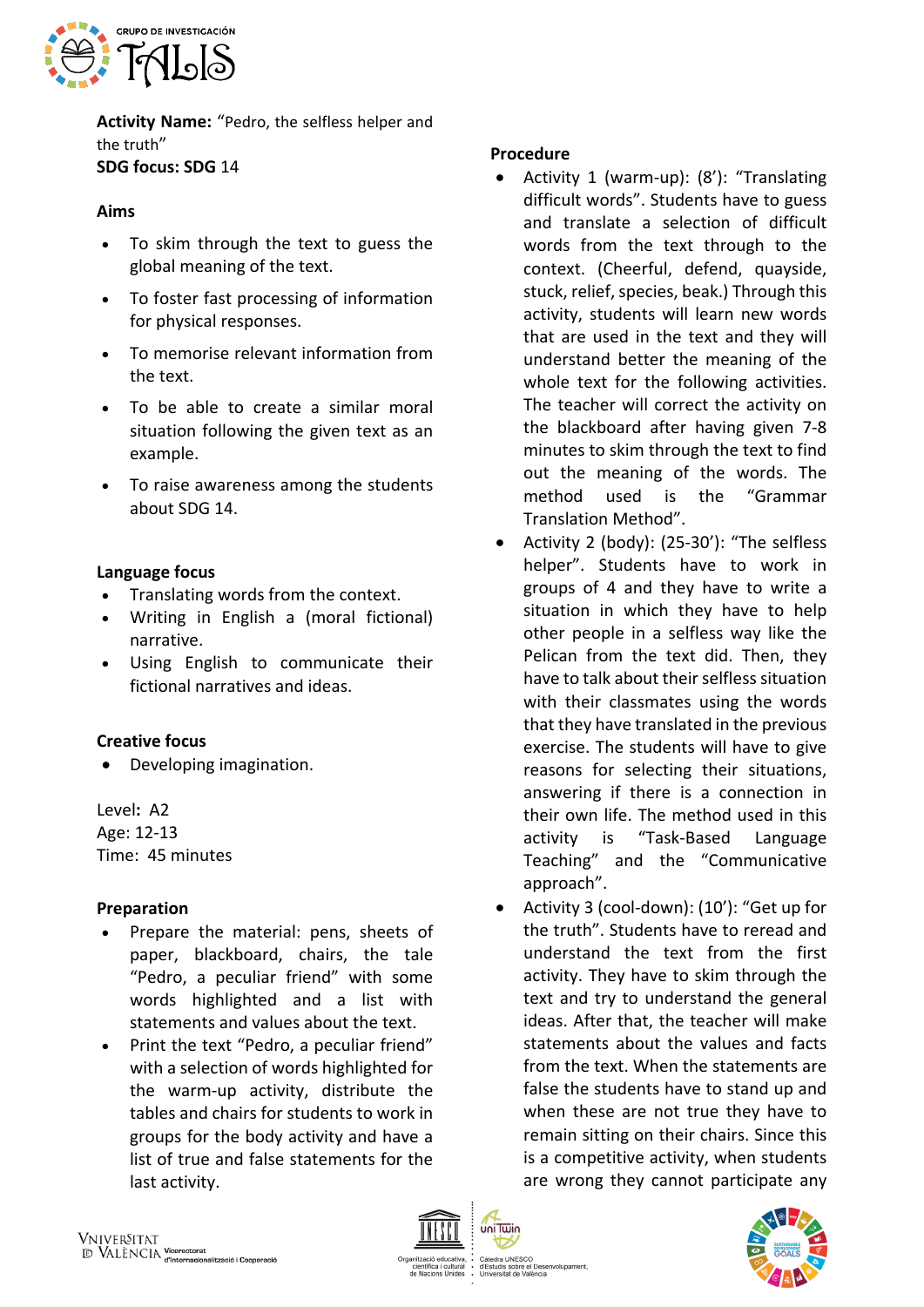

**Activity Name:** "Pedro, the selfless helper and the truth" **SDG focus: SDG** 14

### **Aims**

- To skim through the text to guess the global meaning of the text.
- To foster fast processing of information for physical responses.
- To memorise relevant information from the text.
- To be able to create a similar moral situation following the given text as an example.
- To raise awareness among the students about SDG 14.

### **Language focus**

- Translating words from the context.
- Writing in English a (moral fictional) narrative.
- Using English to communicate their fictional narratives and ideas.

#### **Creative focus**

• Developing imagination.

Level**:** A2 Age: 12-13 Time: 45 minutes

#### **Preparation**

- Prepare the material: pens, sheets of paper, blackboard, chairs, the tale "Pedro, a peculiar friend" with some words highlighted and a list with statements and values about the text.
- Print the text "Pedro, a peculiar friend" with a selection of words highlighted for the warm-up activity, distribute the tables and chairs for students to work in groups for the body activity and have a list of true and false statements for the last activity.

### **Procedure**

- Activity 1 (warm-up): (8'): "Translating difficult words". Students have to guess and translate a selection of difficult words from the text through to the context. (Cheerful, defend, quayside, stuck, relief, species, beak.) Through this activity, students will learn new words that are used in the text and they will understand better the meaning of the whole text for the following activities. The teacher will correct the activity on the blackboard after having given 7-8 minutes to skim through the text to find out the meaning of the words. The method used is the "Grammar Translation Method".
- Activity 2 (body): (25-30'): "The selfless helper". Students have to work in groups of 4 and they have to write a situation in which they have to help other people in a selfless way like the Pelican from the text did. Then, they have to talk about their selfless situation with their classmates using the words that they have translated in the previous exercise. The students will have to give reasons for selecting their situations, answering if there is a connection in their own life. The method used in this activity is "Task-Based Language Teaching" and the "Communicative approach".
- Activity 3 (cool-down): (10'): "Get up for the truth". Students have to reread and understand the text from the first activity. They have to skim through the text and try to understand the general ideas. After that, the teacher will make statements about the values and facts from the text. When the statements are false the students have to stand up and when these are not true they have to remain sitting on their chairs. Since this is a competitive activity, when students are wrong they cannot participate any



uniTwin

Catedra UNESCO<br>d'Estudis sobre el Desenvolupament uis sobre el Des<br>sitat de València